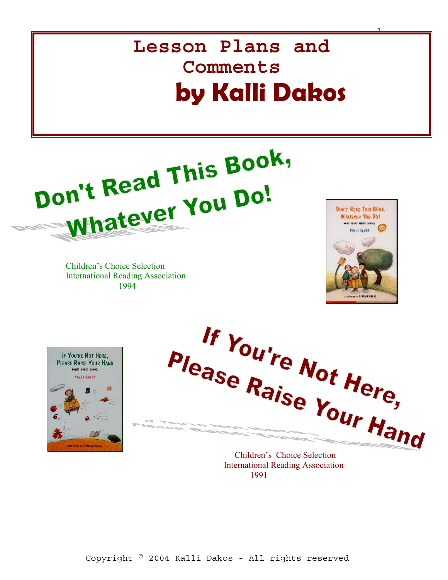# **Lesson Plans and Comments by Kalli Dakos**



Children's Choice Selection International Reading Association 1994



1





 International Reading Association 1991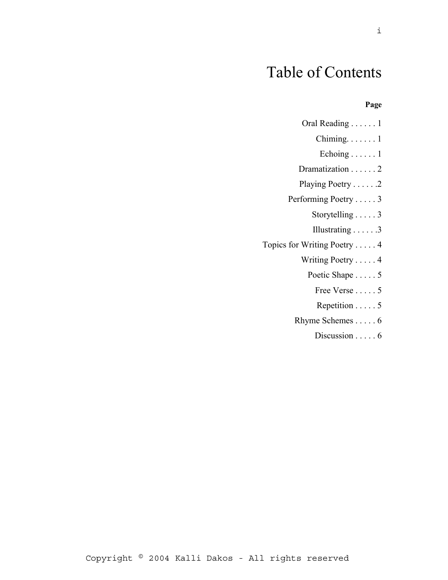# Table of Contents

#### **Page**

| Oral Reading 1                  |
|---------------------------------|
| Chiming. $\dots$ . 1            |
| Echoing $\ldots$ . 1            |
| Dramatization 2                 |
| Playing Poetry 2                |
| Performing Poetry 3             |
| Storytelling 3                  |
| Illustrating $\ldots \ldots$ .3 |
| Topics for Writing Poetry 4     |
| Writing Poetry 4                |
| Poetic Shape 5                  |
| Free Verse 5                    |
| Repetition 5                    |
| Rhyme Schemes 6                 |
| Discussion $\ldots$ . 6         |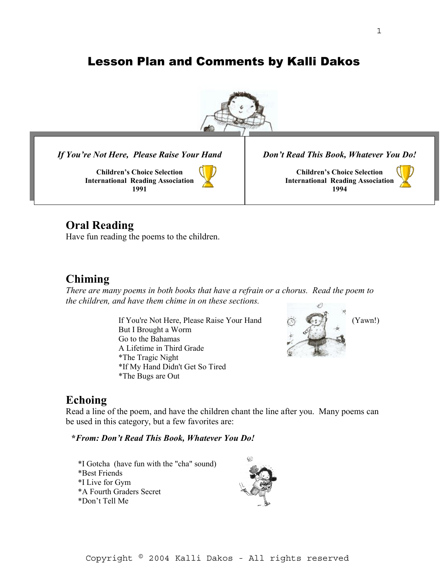# Lesson Plan and Comments by Kalli Dakos



*If You're Not Here, Please Raise Your Hand* 

**Children's Choice Selection International Reading Association 1991**

*Don't Read This Book, Whatever You Do!*

**Children's Choice Selection International Reading Association 1994**



#### **Oral Reading**

Have fun reading the poems to the children.

#### **Chiming**

*There are many poems in both books that have a refrain or a chorus. Read the poem to the children, and have them chime in on these sections.* 

> If You're Not Here, Please Raise Your Hand (Yawn!) But I Brought a Worm Go to the Bahamas A Lifetime in Third Grade \*The Tragic Night \*If My Hand Didn't Get So Tired \*The Bugs are Out



#### **Echoing**

Read a line of the poem, and have the children chant the line after you. Many poems can be used in this category, but a few favorites are:

**\****From: Don't Read This Book, Whatever You Do!*

\*I Gotcha (have fun with the "cha" sound) \*Best Friends \*I Live for Gym \*A Fourth Graders Secret \*Don't Tell Me

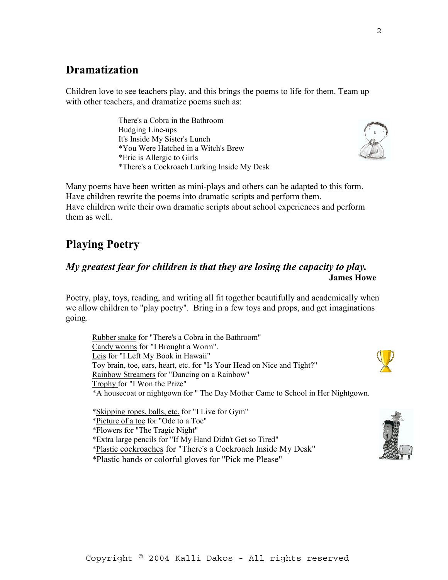# **Dramatization**

Children love to see teachers play, and this brings the poems to life for them. Team up with other teachers, and dramatize poems such as:

> There's a Cobra in the Bathroom Budging Line-ups It's Inside My Sister's Lunch \*You Were Hatched in a Witch's Brew \*Eric is Allergic to Girls \*There's a Cockroach Lurking Inside My Desk

Many poems have been written as mini-plays and others can be adapted to this form. Have children rewrite the poems into dramatic scripts and perform them. Have children write their own dramatic scripts about school experiences and perform them as well.

# **Playing Poetry**

#### *My greatest fear for children is that they are losing the capacity to play.* **James Howe**

Poetry, play, toys, reading, and writing all fit together beautifully and academically when we allow children to "play poetry". Bring in a few toys and props, and get imaginations going.

 Rubber snake for "There's a Cobra in the Bathroom" Candy worms for "I Brought a Worm". Leis for "I Left My Book in Hawaii" Toy brain, toe, ears, heart, etc. for "Is Your Head on Nice and Tight?" Rainbow Streamers for "Dancing on a Rainbow" Trophy for "I Won the Prize" \*A housecoat or nightgown for " The Day Mother Came to School in Her Nightgown.

\*Skipping ropes, balls, etc. for "I Live for Gym"

\*Picture of a toe for "Ode to a Toe"

\*Flowers for "The Tragic Night"

- \*Extra large pencils for "If My Hand Didn't Get so Tired"
- \*Plastic cockroaches for "There's a Cockroach Inside My Desk"

\*Plastic hands or colorful gloves for "Pick me Please"



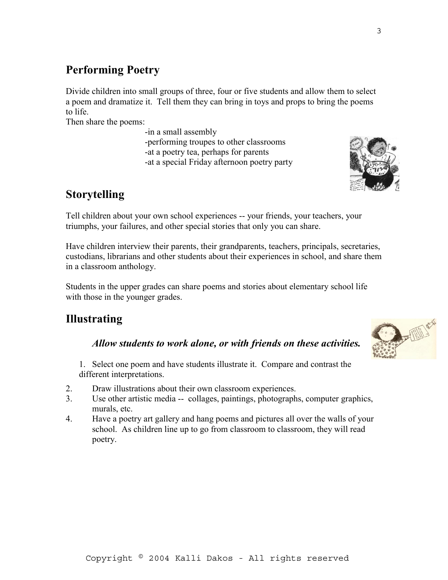# **Performing Poetry**

Divide children into small groups of three, four or five students and allow them to select a poem and dramatize it. Tell them they can bring in toys and props to bring the poems to life.

Then share the poems:

 -in a small assembly -performing troupes to other classrooms -at a poetry tea, perhaps for parents -at a special Friday afternoon poetry party

# **Storytelling**

Tell children about your own school experiences -- your friends, your teachers, your triumphs, your failures, and other special stories that only you can share.

Have children interview their parents, their grandparents, teachers, principals, secretaries, custodians, librarians and other students about their experiences in school, and share them in a classroom anthology.

Students in the upper grades can share poems and stories about elementary school life with those in the younger grades.

# **Illustrating**

#### *Allow students to work alone, or with friends on these activities.*

1. Select one poem and have students illustrate it. Compare and contrast the different interpretations.

- 2. Draw illustrations about their own classroom experiences.
- 3. Use other artistic media -- collages, paintings, photographs, computer graphics, murals, etc.
- 4. Have a poetry art gallery and hang poems and pictures all over the walls of your school. As children line up to go from classroom to classroom, they will read poetry.

3



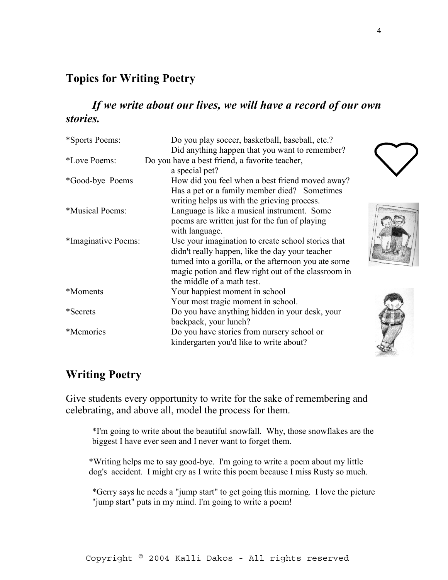# **Topics for Writing Poetry**

## *If we write about our lives, we will have a record of our own stories.*

| *Sports Poems:      | Do you play soccer, basketball, baseball, etc.?      |
|---------------------|------------------------------------------------------|
|                     | Did anything happen that you want to remember?       |
| *Love Poems:        | Do you have a best friend, a favorite teacher,       |
|                     | a special pet?                                       |
| *Good-bye Poems     | How did you feel when a best friend moved away?      |
|                     | Has a pet or a family member died? Sometimes         |
|                     | writing helps us with the grieving process.          |
| *Musical Poems:     | Language is like a musical instrument. Some          |
|                     | poems are written just for the fun of playing        |
|                     | with language.                                       |
| *Imaginative Poems: | Use your imagination to create school stories that   |
|                     | didn't really happen, like the day your teacher      |
|                     | turned into a gorilla, or the afternoon you ate some |
|                     | magic potion and flew right out of the classroom in  |
|                     | the middle of a math test.                           |
| *Moments            | Your happiest moment in school                       |
|                     | Your most tragic moment in school.                   |
| *Secrets            | Do you have anything hidden in your desk, your       |
|                     | backpack, your lunch?                                |
| *Memories           | Do you have stories from nursery school or           |
|                     | kindergarten you'd like to write about?              |





# **Writing Poetry**

Give students every opportunity to write for the sake of remembering and celebrating, and above all, model the process for them.

 \*I'm going to write about the beautiful snowfall. Why, those snowflakes are the biggest I have ever seen and I never want to forget them.

 \*Writing helps me to say good-bye. I'm going to write a poem about my little dog's accident. I might cry as I write this poem because I miss Rusty so much.

\*Gerry says he needs a "jump start" to get going this morning. I love the picture "jump start" puts in my mind. I'm going to write a poem!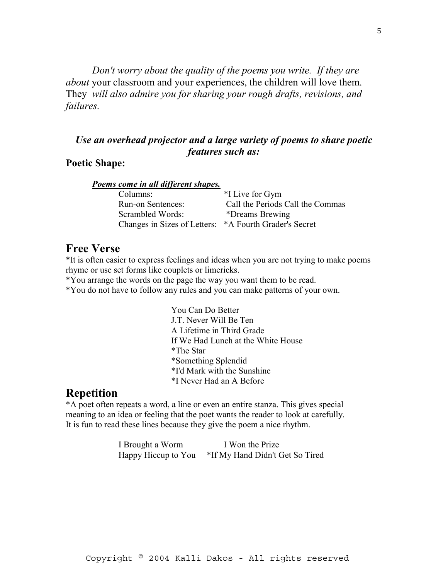*Don't worry about the quality of the poems you write. If they are about* your classroom and your experiences, the children will love them. They *will also admire you for sharing your rough drafts, revisions, and failures.* 

#### *Use an overhead projector and a large variety of poems to share poetic features such as:*

#### **Poetic Shape:**

|  |  |  | Poems come in all different shapes. |
|--|--|--|-------------------------------------|
|  |  |  |                                     |

| Columns:                                               | *I Live for Gym                  |
|--------------------------------------------------------|----------------------------------|
| Run-on Sentences:                                      | Call the Periods Call the Commas |
| Scrambled Words:                                       | *Dreams Brewing                  |
| Changes in Sizes of Letters: *A Fourth Grader's Secret |                                  |

#### **Free Verse**

\*It is often easier to express feelings and ideas when you are not trying to make poems rhyme or use set forms like couplets or limericks.

\*You arrange the words on the page the way you want them to be read.

\*You do not have to follow any rules and you can make patterns of your own.

 You Can Do Better J.T. Never Will Be Ten A Lifetime in Third Grade If We Had Lunch at the White House \*The Star \*Something Splendid \*I'd Mark with the Sunshine \*I Never Had an A Before

#### **Repetition**

\*A poet often repeats a word, a line or even an entire stanza. This gives special meaning to an idea or feeling that the poet wants the reader to look at carefully. It is fun to read these lines because they give the poem a nice rhythm.

> I Brought a Worm I Won the Prize Happy Hiccup to You \*If My Hand Didn't Get So Tired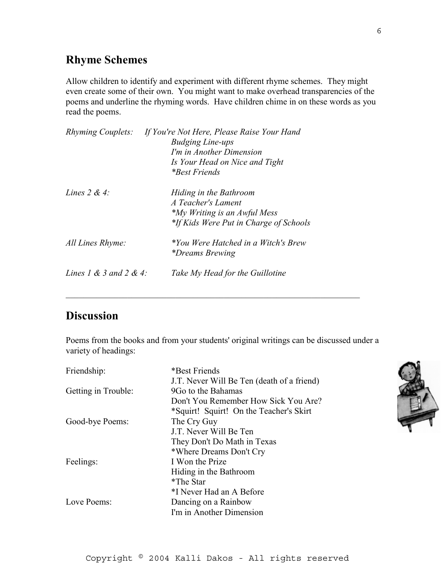### **Rhyme Schemes**

Allow children to identify and experiment with different rhyme schemes. They might even create some of their own. You might want to make overhead transparencies of the poems and underline the rhyming words. Have children chime in on these words as you read the poems.

| <i>Rhyming Couplets:</i> | If You're Not Here, Please Raise Your Hand<br><b>Budging Line-ups</b> |
|--------------------------|-----------------------------------------------------------------------|
|                          | I'm in Another Dimension                                              |
|                          | Is Your Head on Nice and Tight                                        |
|                          | *Best Friends                                                         |
| Lines $2 & 4$ :          | Hiding in the Bathroom                                                |
|                          | A Teacher's Lament                                                    |
|                          | <i>*My Writing is an Awful Mess</i>                                   |
|                          | *If Kids Were Put in Charge of Schools                                |
| All Lines Rhyme:         | *You Were Hatched in a Witch's Brew<br><i>*Dreams Brewing</i>         |
| Lines 1 & 3 and 2 & 4:   | Take My Head for the Guillotine                                       |
|                          |                                                                       |

# **Discussion**

Poems from the books and from your students' original writings can be discussed under a variety of headings:

 $\mathcal{L}_\text{max} = \mathcal{L}_\text{max} = \mathcal{L}_\text{max} = \mathcal{L}_\text{max} = \mathcal{L}_\text{max} = \mathcal{L}_\text{max} = \mathcal{L}_\text{max} = \mathcal{L}_\text{max} = \mathcal{L}_\text{max} = \mathcal{L}_\text{max} = \mathcal{L}_\text{max} = \mathcal{L}_\text{max} = \mathcal{L}_\text{max} = \mathcal{L}_\text{max} = \mathcal{L}_\text{max} = \mathcal{L}_\text{max} = \mathcal{L}_\text{max} = \mathcal{L}_\text{max} = \mathcal{$ 

| Friendship:         | *Best Friends                              |
|---------------------|--------------------------------------------|
|                     | J.T. Never Will Be Ten (death of a friend) |
| Getting in Trouble: | 9Go to the Bahamas                         |
|                     | Don't You Remember How Sick You Are?       |
|                     | *Squirt! Squirt! On the Teacher's Skirt    |
| Good-bye Poems:     | The Cry Guy                                |
|                     | J.T. Never Will Be Ten                     |
|                     | They Don't Do Math in Texas                |
|                     | *Where Dreams Don't Cry                    |
| Feelings:           | I Won the Prize                            |
|                     | Hiding in the Bathroom                     |
|                     | *The Star                                  |
|                     | *I Never Had an A Before                   |
| Love Poems:         | Dancing on a Rainbow                       |
|                     | I'm in Another Dimension                   |